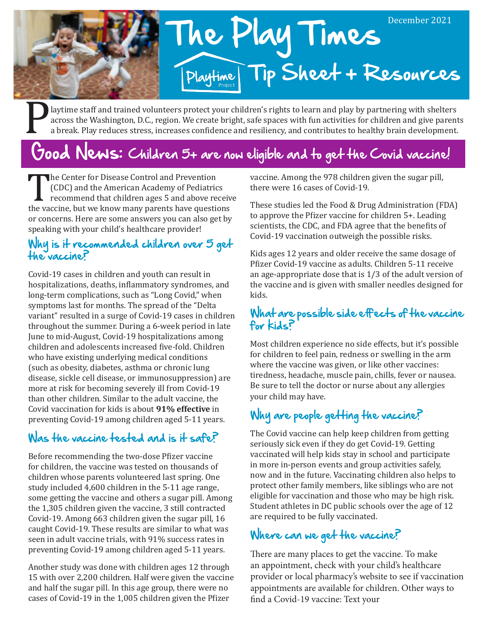

Playtime staff and trained volunteers protect your children's rights to learn and play by partnering with shelters<br>across the Washington, D.C., region. We create bright, safe spaces with fun activities for children and giv across the Washington, D.C., region. We create bright, safe spaces with fun activities for children and give parents a break. Play reduces stress, increases confidence and resiliency, and contributes to healthy brain development.

## Good News: Children 5+ are now eligible and to get the Covid vaccine!

The Center for Disease Control and Prevention<br>
(CDC) and the American Academy of Pediatrics<br>
recommend that children ages 5 and above receiv<br>
the vaccine, but we know many parents have questions<br>
an apparent line are some (CDC) and the American Academy of Pediatrics recommend that children ages 5 and above receive or concerns. Here are some answers you can also get by speaking with your child's healthcare provider!

#### Why is it recommended children over 5 get the vaccine?

Covid-19 cases in children and youth can result in hospitalizations, deaths, inflammatory syndromes, and long-term complications, such as "Long Covid," when symptoms last for months. The spread of the "Delta variant" resulted in a surge of Covid-19 cases in children throughout the summer. During a 6-week period in late June to mid-August, Covid-19 hospitalizations among children and adolescents increased five-fold. Children who have existing underlying medical conditions (such as obesity, diabetes, asthma or chronic lung disease, sickle cell disease, or immunosuppression) are more at risk for becoming severely ill from Covid-19 than other children. Similar to the adult vaccine, the Covid vaccination for kids is about **91% effective** in preventing Covid-19 among children aged 5-11 years.

## Was the vaccine tested and is it safe?

Before recommending the two-dose Pfizer vaccine for children, the vaccine was tested on thousands of children whose parents volunteered last spring. One study included 4,600 children in the 5-11 age range, some getting the vaccine and others a sugar pill. Among the 1,305 children given the vaccine, 3 still contracted Covid-19. Among 663 children given the sugar pill, 16 caught Covid-19. These results are similar to what was seen in adult vaccine trials, with 91% success rates in preventing Covid-19 among children aged 5-11 years.

Another study was done with children ages 12 through 15 with over 2,200 children. Half were given the vaccine and half the sugar pill. In this age group, there were no cases of Covid-19 in the 1,005 children given the Pfizer

vaccine. Among the 978 children given the sugar pill, there were 16 cases of Covid-19.

These studies led the Food & Drug Administration (FDA) to approve the Pfizer vaccine for children 5+. Leading scientists, the CDC, and FDA agree that the benefits of Covid-19 vaccination outweigh the possible risks.

Kids ages 12 years and older receive the same dosage of Pfizer Covid-19 vaccine as adults. Children 5-11 receive an age-appropriate dose that is 1/3 of the adult version of the vaccine and is given with smaller needles designed for kids.

#### What are possible side effects of the vaccine for kids?

Most children experience no side effects, but it's possible for children to feel pain, redness or swelling in the arm where the vaccine was given, or like other vaccines: tiredness, headache, muscle pain, chills, fever or nausea. Be sure to tell the doctor or nurse about any allergies your child may have.

## Why are people getting the vaccine?

The Covid vaccine can help keep children from getting seriously sick even if they do get Covid-19. Getting vaccinated will help kids stay in school and participate in more in-person events and group activities safely, now and in the future. Vaccinating children also helps to protect other family members, like siblings who are not eligible for vaccination and those who may be high risk. Student athletes in DC public schools over the age of 12 are required to be fully vaccinated.

#### Where can we get the vaccine?

There are many places to get the vaccine. To make an appointment, check with your child's healthcare provider or local pharmacy's website to see if vaccination appointments are available for children. Other ways to find a Covid-19 vaccine: Text your